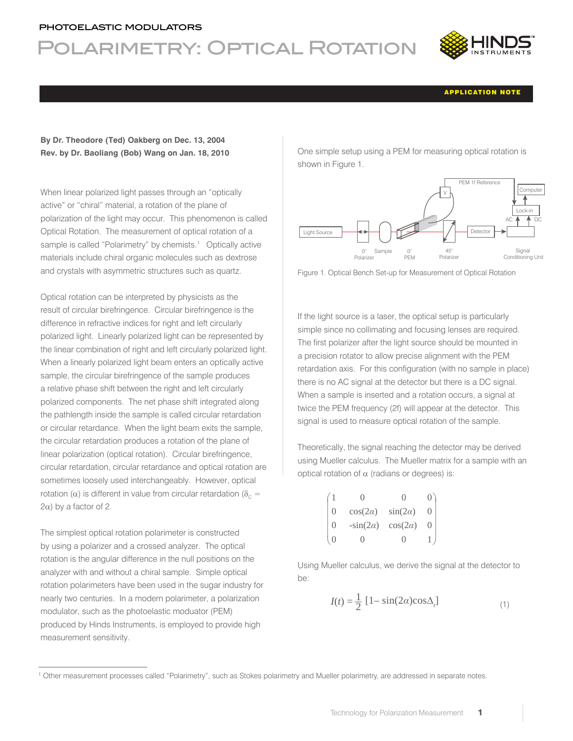#### photoelastic modulators

# Polarimetry: Optical Rotation



APPLICATION NOTE

### **By Dr. Theodore (Ted) Oakberg on Dec. 13, 2004 Rev. by Dr. Baoliang (Bob) Wang on Jan. 18, 2010**

When linear polarized light passes through an "optically active" or "chiral" material, a rotation of the plane of polarization of the light may occur. This phenomenon is called Optical Rotation. The measurement of optical rotation of a sample is called "Polarimetry" by chemists.<sup>1</sup> Optically active materials include chiral organic molecules such as dextrose and crystals with asymmetric structures such as quartz.

Optical rotation can be interpreted by physicists as the result of circular birefringence. Circular birefringence is the difference in refractive indices for right and left circularly polarized light. Linearly polarized light can be represented by the linear combination of right and left circularly polarized light. When a linearly polarized light beam enters an optically active sample, the circular birefringence of the sample produces a relative phase shift between the right and left circularly polarized components. The net phase shift integrated along the pathlength inside the sample is called circular retardation or circular retardance. When the light beam exits the sample, the circular retardation produces a rotation of the plane of linear polarization (optical rotation). Circular birefringence, circular retardation, circular retardance and optical rotation are sometimes loosely used interchangeably. However, optical rotation ( $\alpha$ ) is different in value from circular retardation ( $\delta_c$  =  $2\alpha$ ) by a factor of 2.

The simplest optical rotation polarimeter is constructed by using a polarizer and a crossed analyzer. The optical rotation is the angular difference in the null positions on the analyzer with and without a chiral sample. Simple optical rotation polarimeters have been used in the sugar industry for nearly two centuries. In a modern polarimeter, a polarization modulator, such as the photoelastic moduator (PEM) produced by Hinds Instruments, is employed to provide high measurement sensitivity.

One simple setup using a PEM for measuring optical rotation is shown in Figure 1.



Figure 1. Optical Bench Set-up for Measurement of Optical Rotation

If the light source is a laser, the optical setup is particularly simple since no collimating and focusing lenses are required. The first polarizer after the light source should be mounted in a precision rotator to allow precise alignment with the PEM retardation axis. For this configuration (with no sample in place) there is no AC signal at the detector but there is a DC signal. When a sample is inserted and a rotation occurs, a signal at twice the PEM frequency (2f) will appear at the detector. This signal is used to measure optical rotation of the sample.

Theoretically, the signal reaching the detector may be derived using Mueller calculus. The Mueller matrix for a sample with an optical rotation of  $\alpha$  (radians or degrees) is:

|                  | $\cos(2\alpha)$ | $sin(2\alpha)$  |                  |
|------------------|-----------------|-----------------|------------------|
| $\left( \right)$ | $-sin(2\alpha)$ | $\cos(2\alpha)$ | $\left( \right)$ |
|                  |                 | ( )             |                  |

Using Mueller calculus, we derive the signal at the detector to be:

$$
I(t) = \frac{1}{2} \left[ 1 - \sin(2\alpha)\cos\Delta_t \right] \tag{1}
$$

<sup>1</sup> Other measurement processes called "Polarimetry", such as Stokes polarimetry and Mueller polarimetry, are addressed in separate notes.